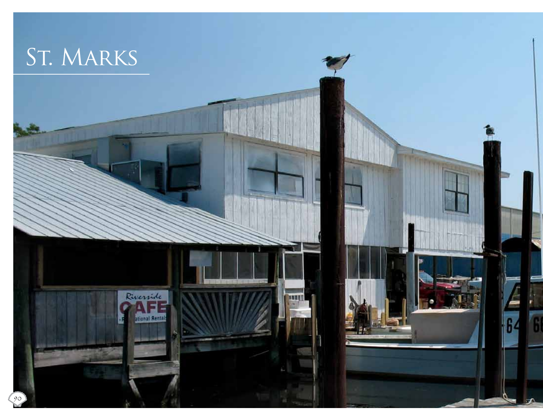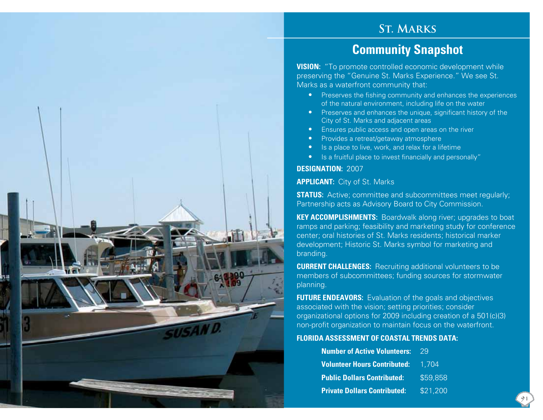## **St. Marks**

# **Community Snapshot**

**VISION:** "To promote controlled economic development while preserving the "Genuine St. Marks Experience." We see St. Marks as a waterfront community that:

- Preserves the fishing community and enhances the experiences of the natural environment, including life on the water
- Preserves and enhances the unique, significant history of the City of St. Marks and adjacent areas
- Ensures public access and open areas on the river
- Provides a retreat/getaway atmosphere
- **is a place to live, work, and relax for a lifetime**
- Is a fruitful place to invest financially and personally"

#### **DESIGNATION:** 2007

#### **APPLICANT:** City of St. Marks

**STATUS:** Active; committee and subcommittees meet reqularly; Partnership acts as Advisory Board to City Commission.

**KEY ACCOMPLISHMENTS:** Boardwalk along river; upgrades to boat ramps and parking; feasibility and marketing study for conference center; oral histories of St. Marks residents; historical marker development; Historic St. Marks symbol for marketing and branding.

**CURRENT CHALLENGES:** Recruiting additional volunteers to be members of subcommittees; funding sources for stormwater planning.

**FUTURE ENDEAVORS:** Evaluation of the goals and objectives associated with the vision; setting priorities; consider organizational options for 2009 including creation of a 501(c)(3) non-profit organization to maintain focus on the waterfront.

#### **FLORIDA ASSESSMENT OF COASTAL TRENDS DATA:**

| <b>Number of Active Volunteers:</b> | 29       |
|-------------------------------------|----------|
| <b>Volunteer Hours Contributed:</b> | 1.704    |
| <b>Public Dollars Contributed:</b>  | \$59,858 |
| <b>Private Dollars Contributed:</b> | \$21,200 |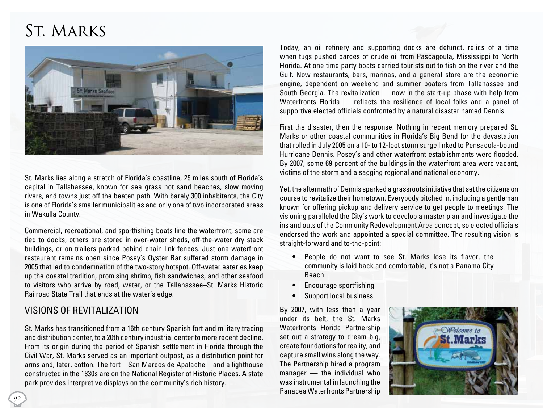# St. Marks



St. Marks lies along a stretch of Florida's coastline, 25 miles south of Florida's capital in Tallahassee, known for sea grass not sand beaches, slow moving rivers, and towns just off the beaten path. With barely 300 inhabitants, the City is one of Florida's smaller municipalities and only one of two incorporated areas in Wakulla County.

Commercial, recreational, and sportfishing boats line the waterfront; some are tied to docks, others are stored in over-water sheds, off-the-water dry stack buildings, or on trailers parked behind chain link fences. Just one waterfront restaurant remains open since Posey's Oyster Bar suffered storm damage in 2005 that led to condemnation of the two-story hotspot. Off-water eateries keep up the coastal tradition, promising shrimp, fish sandwiches, and other seafood to visitors who arrive by road, water, or the Tallahassee–St. Marks Historic Railroad State Trail that ends at the water's edge.

### Visions of Revitalization

St. Marks has transitioned from a 16th century Spanish fort and military trading and distribution center, to a 20th century industrial center to more recent decline. From its origin during the period of Spanish settlement in Florida through the Civil War, St. Marks served as an important outpost, as a distribution point for arms and, later, cotton. The fort – San Marcos de Apalache – and a lighthouse constructed in the 1830s are on the National Register of Historic Places. A state park provides interpretive displays on the community's rich history.

Today, an oil refinery and supporting docks are defunct, relics of a time when tugs pushed barges of crude oil from Pascagoula, Mississippi to North Florida. At one time party boats carried tourists out to fish on the river and the Gulf. Now restaurants, bars, marinas, and a general store are the economic engine, dependent on weekend and summer boaters from Tallahassee and South Georgia. The revitalization — now in the start-up phase with help from Waterfronts Florida — reflects the resilience of local folks and a panel of supportive elected officials confronted by a natural disaster named Dennis.

First the disaster, then the response. Nothing in recent memory prepared St. Marks or other coastal communities in Florida's Big Bend for the devastation that rolled in July 2005 on a 10- to 12-foot storm surge linked to Pensacola-bound Hurricane Dennis. Posey's and other waterfront establishments were flooded. By 2007, some 69 percent of the buildings in the waterfront area were vacant, victims of the storm and a sagging regional and national economy.

Yet, the aftermath of Dennis sparked a grassroots initiative that set the citizens on course to revitalize their hometown. Everybody pitched in, including a gentleman known for offering pickup and delivery service to get people to meetings. The visioning paralleled the City's work to develop a master plan and investigate the ins and outs of the Community Redevelopment Area concept, so elected officials endorsed the work and appointed a special committee. The resulting vision is straight-forward and to-the-point:

- People do not want to see St. Marks lose its flavor, the community is laid back and comfortable, it's not a Panama City Beach
- Encourage sportfishing
- Support local business

By 2007, with less than a year under its belt, the St. Marks Waterfronts Florida Partnership set out a strategy to dream big, create foundations for reality, and capture small wins along the way. The Partnership hired a program manager — the individual who was instrumental in launching the Panacea Waterfronts Partnership